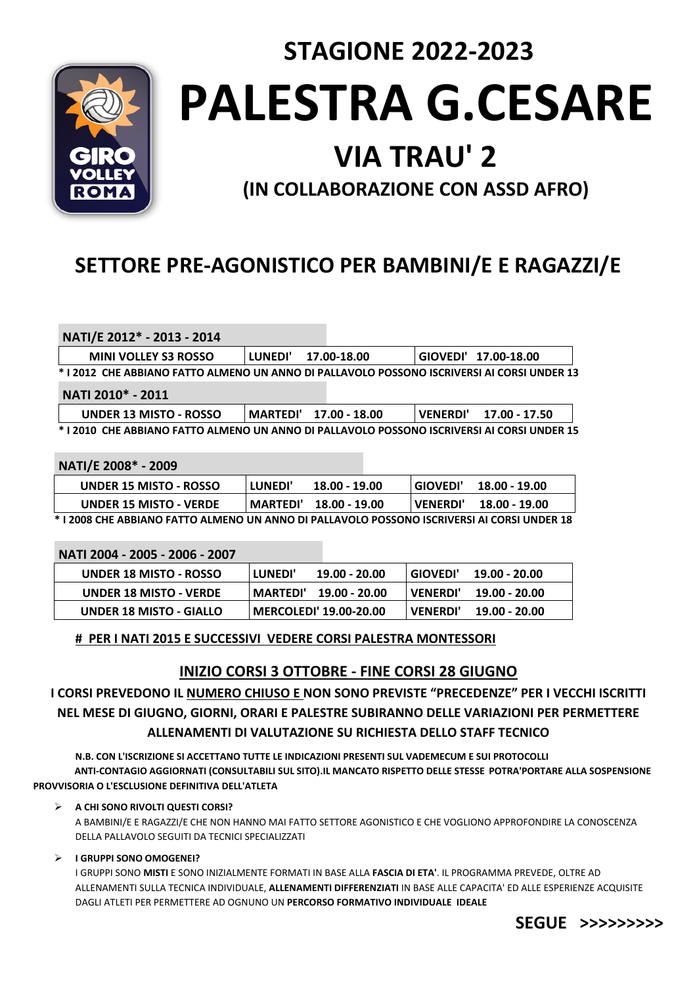

**PALESTRA G.CESARE**

 **STAGIONE 2022-2023** 

# **VIA TRAU' 2**

**(IN COLLABORAZIONE CON ASSD AFRO)**

# **SETTORE PRE-AGONISTICO PER BAMBINI/E E RAGAZZI/E**

**NATI/E 2012\* - 2013 - 2014**

| <b>MINI VOLLEY S3 ROSSO</b>                                                                  | <b>LUNEDI'</b> | 17.00-18.00 | GIOVEDI' 17.00-18.00 |
|----------------------------------------------------------------------------------------------|----------------|-------------|----------------------|
| * I 2012  CHE ABBIANO FATTO ALMENO UN ANNO DI PALLAVOLO POSSONO ISCRIVERSI AI CORSI UNDER 13 |                |             |                      |

**NATI 2010\* - 2011**

| UNDER 13 MISTO - ROSSO                                                                      | MARTEDI' 17.00 - 18.00 | <b>VENERDI'</b> | 17.00 - 17.50 |
|---------------------------------------------------------------------------------------------|------------------------|-----------------|---------------|
| * I 2010  CHE ABBIANO FATTO ALMENO UN ANNO DI PALLAVOLO POSSONO ISCRIVERSI AI CORSI UNDER 1 |                        |                 |               |

**NATI/E 2008\* - 2009**

**NATI 2004 - 2005 - 2006 - 2007**

| <b>UNDER 15 MISTO - ROSSO</b>                                                               | <b>LUNEDI'</b>  | 18.00 - 19.00 | GIOVEDI'   | 18.00 - 19.00 |
|---------------------------------------------------------------------------------------------|-----------------|---------------|------------|---------------|
| <b>UNDER 15 MISTO - VERDE</b>                                                               | <b>MARTEDI'</b> | 18.00 - 19.00 | l VENERDI' | 18.00 - 19.00 |
| * I 2008 CHE ABBIANO FATTO ALMENO UN ANNO DI PALLAVOLO POSSONO ISCRIVERSI AI CORSI UNDER 18 |                 |               |            |               |

| NATI 2004 - 2005 - 2006 - 2007 |           |                               |                 |               |
|--------------------------------|-----------|-------------------------------|-----------------|---------------|
| <b>UNDER 18 MISTO - ROSSO</b>  | l LUNEDI' | 19.00 - 20.00                 | l GIOVEDI'      | 19.00 - 20.00 |
| <b>UNDER 18 MISTO - VERDE</b>  |           | <b>MARTEDI' 19.00 - 20.00</b> | <b>VENERDI'</b> | 19.00 - 20.00 |
| <b>UNDER 18 MISTO - GIALLO</b> |           | <b>MERCOLEDI' 19.00-20.00</b> | VENERDI'        | 19.00 - 20.00 |

# **# PER I NATI 2015 E SUCCESSIVI VEDERE CORSI PALESTRA MONTESSORI**

# **INIZIO CORSI 3 OTTOBRE - FINE CORSI 28 GIUGNO**

# **I CORSI PREVEDONO IL NUMERO CHIUSO E NON SONO PREVISTE "PRECEDENZE" PER I VECCHI ISCRITTI NEL MESE DI GIUGNO, GIORNI, ORARI E PALESTRE SUBIRANNO DELLE VARIAZIONI PER PERMETTERE ALLENAMENTI DI VALUTAZIONE SU RICHIESTA DELLO STAFF TECNICO**

**N.B. CON L'ISCRIZIONE SI ACCETTANO TUTTE LE INDICAZIONI PRESENTI SUL VADEMECUM E SUI PROTOCOLLI ANTI-CONTAGIO AGGIORNATI (CONSULTABILI SUL SITO).IL MANCATO RISPETTO DELLE STESSE POTRA'PORTARE ALLA SOSPENSIONE PROVVISORIA O L'ESCLUSIONE DEFINITIVA DELL'ATLETA**

# **A CHI SONO RIVOLTI QUESTI CORSI?**

A BAMBINI/E E RAGAZZI/E CHE NON HANNO MAI FATTO SETTORE AGONISTICO E CHE VOGLIONO APPROFONDIRE LA CONOSCENZA DELLA PALLAVOLO SEGUITI DA TECNICI SPECIALIZZATI

# **I GRUPPI SONO OMOGENEI?**

I GRUPPI SONO **MISTI** E SONO INIZIALMENTE FORMATI IN BASE ALLA **FASCIA DI ETA'**. IL PROGRAMMA PREVEDE, OLTRE AD ALLENAMENTI SULLA TECNICA INDIVIDUALE, **ALLENAMENTI DIFFERENZIATI** IN BASE ALLE CAPACITA' ED ALLE ESPERIENZE ACQUISITE DAGLI ATLETI PER PERMETTERE AD OGNUNO UN **PERCORSO FORMATIVO INDIVIDUALE IDEALE**